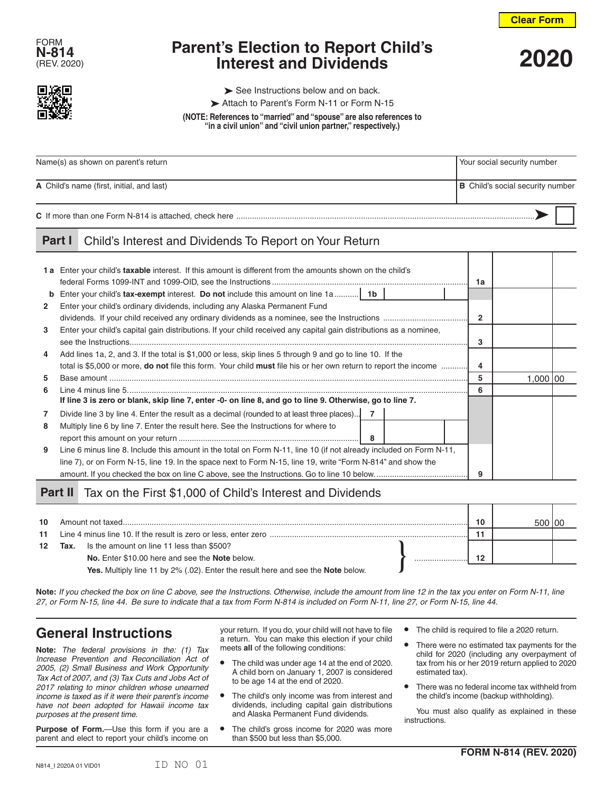



# **Parent's Election to Report Child's Interest and Dividends** (REV. 2020) **2020**



 $\triangleright$  See Instructions below and on back.

Attach to Parent's Form N-11 or Form N-15

**(NOTE: References to "married" and "spouse" are also references to "in a civil union" and "civil union partner," respectively.)**

| Name(s) as shown on parent's return       | Your social security number             |  |  |
|-------------------------------------------|-----------------------------------------|--|--|
| A Child's name (first, initial, and last) | <b>B</b> Child's social security number |  |  |
|                                           |                                         |  |  |

#### **Part I** Child's Interest and Dividends To Report on Your Return

|              | 1a Enter your child's taxable interest. If this amount is different from the amounts shown on the child's                      | 1a             |           |  |
|--------------|--------------------------------------------------------------------------------------------------------------------------------|----------------|-----------|--|
| b            | <b>Enter your child's tax-exempt interest. Do not include this amount on line 1a</b> 1b                                        |                |           |  |
| $\mathbf{2}$ | Enter your child's ordinary dividends, including any Alaska Permanent Fund                                                     |                |           |  |
|              |                                                                                                                                | $\overline{2}$ |           |  |
| 3            | Enter your child's capital gain distributions. If your child received any capital gain distributions as a nominee,             |                |           |  |
|              |                                                                                                                                |                |           |  |
| 4            | Add lines 1a, 2, and 3. If the total is \$1,000 or less, skip lines 5 through 9 and go to line 10. If the                      |                |           |  |
|              | total is \$5,000 or more, <b>do not</b> file this form. Your child <b>must</b> file his or her own return to report the income | 4              |           |  |
| 5            |                                                                                                                                | 5              | 1.000 100 |  |
| 6.           |                                                                                                                                | 6              |           |  |
|              | If line 3 is zero or blank, skip line 7, enter -0- on line 8, and go to line 9. Otherwise, go to line 7.                       |                |           |  |
|              | Divide line 3 by line 4. Enter the result as a decimal (rounded to at least three places) 7                                    |                |           |  |
| 8            | Multiply line 6 by line 7. Enter the result here. See the Instructions for where to                                            |                |           |  |
|              | - 8                                                                                                                            |                |           |  |
| 9            | Line 6 minus line 8. Include this amount in the total on Form N-11, line 10 (if not already included on Form N-11,             |                |           |  |
|              | line 7), or on Form N-15, line 19. In the space next to Form N-15, line 19, write "Form N-814" and show the                    |                |           |  |
|              |                                                                                                                                | 9              |           |  |

### Part II Tax on the First \$1,000 of Child's Interest and Dividends

| 10               |      | Amount not taxed                                                                 |  | 10 |  |
|------------------|------|----------------------------------------------------------------------------------|--|----|--|
| 11               |      |                                                                                  |  |    |  |
| 12 <sup>12</sup> | Tax. | Is the amount on line 11 less than \$500?                                        |  |    |  |
|                  |      | No. Enter \$10.00 here and see the Note below.                                   |  | 10 |  |
|                  |      | Yes. Multiply line 11 by 2% (.02). Enter the result here and see the Note below. |  |    |  |

**Note:** *If you checked the box on line C above, see the Instructions. Otherwise, include the amount from line 12 in the tax you enter on Form N-11, line 27, or Form N-15, line 44. Be sure to indicate that a tax from Form N-814 is included on Form N-11, line 27, or Form N-15, line 44.*

# **General Instructions**

**Note:** *The federal provisions in the: (1) Tax Increase Prevention and Reconciliation Act of 2005, (2) Small Business and Work Opportunity Tax Act of 2007, and (3) Tax Cuts and Jobs Act of 2017 relating to minor children whose unearned income is taxed as if it were their parent's income have not been adopted for Hawaii income tax purposes at the present time.*

**Purpose of Form.**—Use this form if you are a parent and elect to report your child's income on

your return. If you do, your child will not have to file a return. You can make this election if your child meets **all** of the following conditions:

- **•** The child was under age 14 at the end of 2020. A child born on January 1, 2007 is considered to be age 14 at the end of 2020.
- **•** The child's only income was from interest and dividends, including capital gain distributions and Alaska Permanent Fund dividends.
- **•** The child's gross income for 2020 was more than \$500 but less than \$5,000.
- **•** The child is required to file a 2020 return.
- **•** There were no estimated tax payments for the child for 2020 (including any overpayment of tax from his or her 2019 return applied to 2020 estimated tax).
- **•** There was no federal income tax withheld from the child's income (backup withholding).

You must also qualify as explained in these instructions.